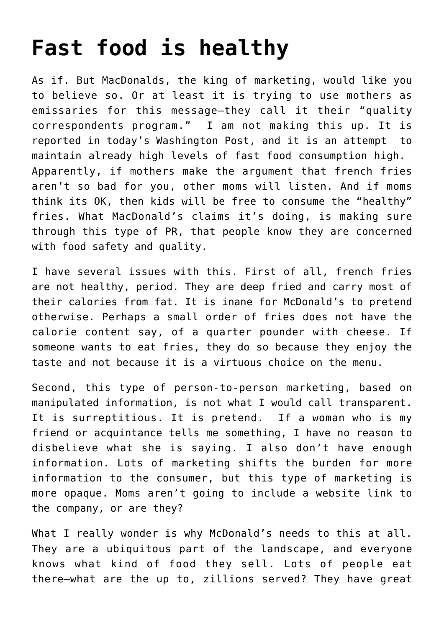## **[Fast food is healthy](https://deborahbrody.com/2008/11/fast-food-is-healthy/)**

As if. But MacDonalds, the king of marketing, would like you to believe so. Or at least it is trying to use mothers as emissaries for this message–they call it their "quality correspondents program." I am not making this up. It is [reported in today's Washington Post,](http://www.washingtonpost.com/wp-dyn/content/article/2008/11/19/AR2008111903618.html?hpid=artslot) and it is an attempt to maintain already high levels of fast food consumption high. Apparently, if mothers make the argument that french fries aren't so bad for you, other moms will listen. And if moms think its OK, then kids will be free to consume the "healthy" fries. What MacDonald's claims it's doing, is making sure through this type of PR, that people know they are concerned with food safety and quality.

I have several issues with this. First of all, french fries are not healthy, period. They are deep fried and carry most of their calories from fat. It is inane for McDonald's to pretend otherwise. Perhaps a small order of fries does not have the calorie content say, of a quarter pounder with cheese. If someone wants to eat fries, they do so because they enjoy the taste and not because it is a virtuous choice on the menu.

Second, this type of person-to-person marketing, based on manipulated information, is not what I would call transparent. It is surreptitious. It is pretend. If a woman who is my friend or acquintance tells me something, I have no reason to disbelieve what she is saying. I also don't have enough information. Lots of marketing shifts the burden for more information to the consumer, but this type of marketing is more opaque. Moms aren't going to include a website link to the company, or are they?

What I really wonder is why McDonald's needs to this at all. They are a ubiquitous part of the landscape, and everyone knows what kind of food they sell. Lots of people eat there–what are the up to, zillions served? They have great